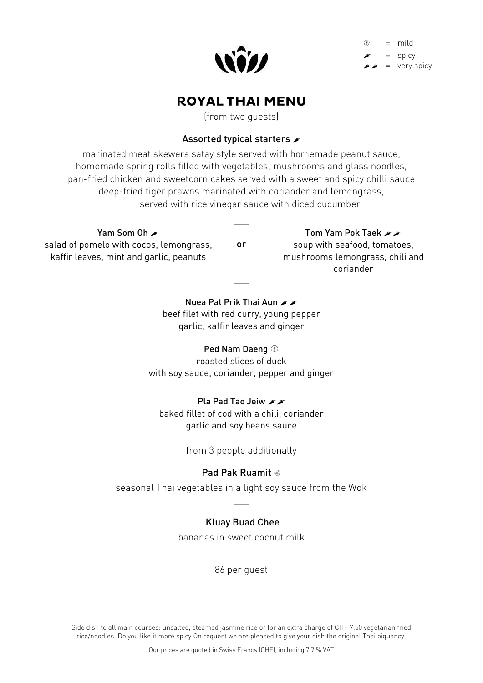

 = mild = spicy  $\sqrt{\epsilon}$  = very spicy

### **ROYAL THAI MENU**

(from two guests)

#### Assorted typical starters  $\blacktriangleright$

marinated meat skewers satay style served with homemade peanut sauce, homemade spring rolls filled with vegetables, mushrooms and glass noodles, pan-fried chicken and sweetcorn cakes served with a sweet and spicy chilli sauce deep-fried tiger prawns marinated with coriander and lemongrass, served with rice vinegar sauce with diced cucumber

#### Yam Som Oh **A**

salad of pomelo with cocos, lemongrass, kaffir leaves, mint and garlic, peanuts

or

 $\overline{\phantom{a}}$ 

# Tom Yam Pok Taek A

soup with seafood, tomatoes, mushrooms lemongrass, chili and coriander

Nuea Pat Prik Thai Aun beef filet with red curry, young pepper garlic, kaffir leaves and ginger

 $\overline{\phantom{a}}$ 

#### Ped Nam Daeng

roasted slices of duck with soy sauce, coriander, pepper and ginger

Pla Pad Tao Jeiw xx baked fillet of cod with a chili, coriander garlic and soy beans sauce

from 3 people additionally

#### Pad Pak Ruamit

seasonal Thai vegetables in a light soy sauce from the Wok  $\overline{\phantom{a}}$ 

#### Kluay Buad Chee

bananas in sweet cocnut milk

86 per guest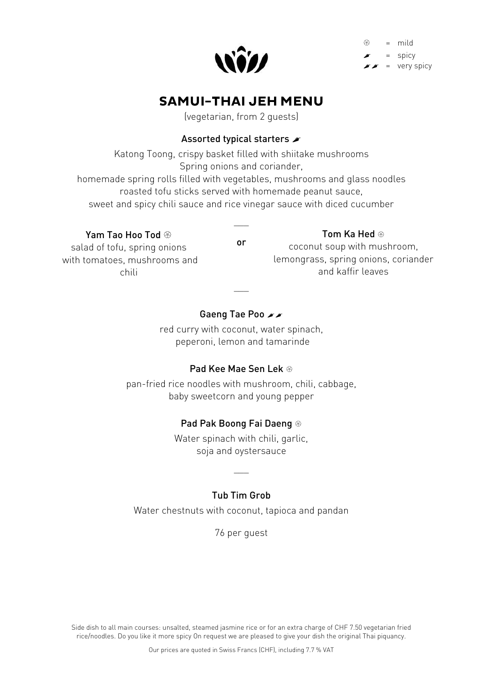

 = mild = spicy = very spicy

## **SAMUI-THAI JEH MENU**

(vegetarian, from 2 guests)

### Assorted typical starters  $\blacktriangleright$

Katong Toong, crispy basket filled with shiitake mushrooms Spring onions and coriander, homemade spring rolls filled with vegetables, mushrooms and glass noodles roasted tofu sticks served with homemade peanut sauce, sweet and spicy chili sauce and rice vinegar sauce with diced cucumber

#### Yam Tao Hoo Tod  $\circledast$

salad of tofu, spring onions with tomatoes, mushrooms and chili

or

 $\overline{\phantom{a}}$ 

#### Tom Ka Hed <sup>®</sup>

coconut soup with mushroom, lemongrass, spring onions, coriander and kaffir leaves

### Gaeng Tae Poo xx

 $\overline{\phantom{a}}$ 

red curry with coconut, water spinach, peperoni, lemon and tamarinde

#### Pad Kee Mae Sen Lek

pan-fried rice noodles with mushroom, chili, cabbage, baby sweetcorn and young pepper

#### Pad Pak Boong Fai Daeng

Water spinach with chili, garlic, soja and oystersauce

#### Tub Tim Grob

 $\overline{\phantom{a}}$ 

Water chestnuts with coconut, tapioca and pandan

76 per guest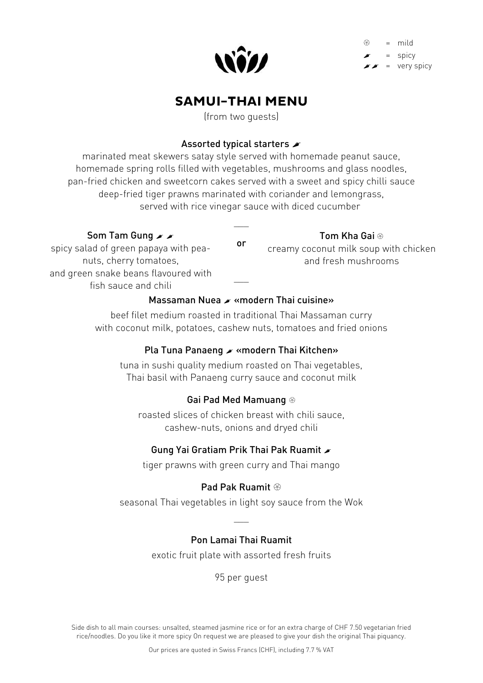

 = mild = spicy = very spicy

## **SAMUI-THAI MENU**

(from two guests)

#### Assorted typical starters  $\blacktriangleright$

marinated meat skewers satay style served with homemade peanut sauce, homemade spring rolls filled with vegetables, mushrooms and glass noodles, pan-fried chicken and sweetcorn cakes served with a sweet and spicy chilli sauce deep-fried tiger prawns marinated with coriander and lemongrass, served with rice vinegar sauce with diced cucumber

#### Som Tam Gung & &

 $\overline{\phantom{a}}$ 

#### Tom Kha Gai

spicy salad of green papaya with peanuts, cherry tomatoes, and green snake beans flavoured with fish sauce and chili

or creamy coconut milk soup with chicken and fresh mushrooms

### Massaman Nuea x «modern Thai cuisine»

 $\overline{\phantom{a}}$ 

beef filet medium roasted in traditional Thai Massaman curry with coconut milk, potatoes, cashew nuts, tomatoes and fried onions

### Pla Tuna Panaeng «modern Thai Kitchen»

tuna in sushi quality medium roasted on Thai vegetables, Thai basil with Panaeng curry sauce and coconut milk

### Gai Pad Med Mamuang

roasted slices of chicken breast with chili sauce, cashew-nuts, onions and dryed chili

### Gung Yai Gratiam Prik Thai Pak Ruamit

tiger prawns with green curry and Thai mango

### Pad Pak Ruamit

seasonal Thai vegetables in light soy sauce from the Wok

 $\overline{\phantom{a}}$ 

### Pon Lamai Thai Ruamit

exotic fruit plate with assorted fresh fruits

95 per guest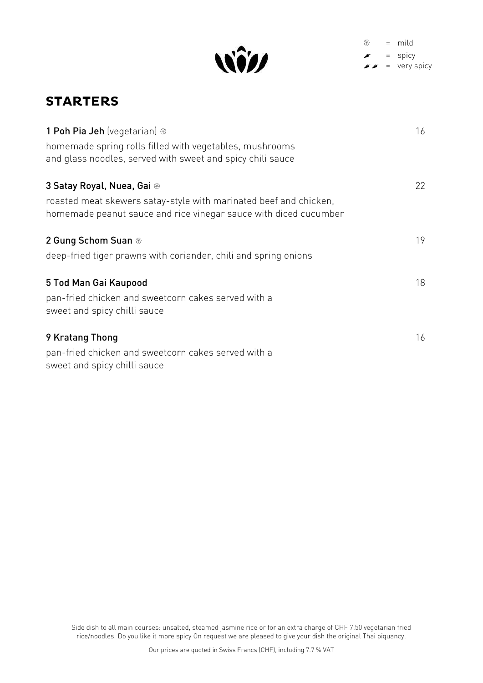

 $\circledast$  = mild  $\blacktriangleright$  = spicy  $\bullet \bullet = \text{very spicy}$ 

## **STARTERS**

| 1 Poh Pia Jeh (vegetarian) ®                                                                                                          | 16 |
|---------------------------------------------------------------------------------------------------------------------------------------|----|
| homemade spring rolls filled with vegetables, mushrooms<br>and glass noodles, served with sweet and spicy chili sauce                 |    |
|                                                                                                                                       |    |
| 3 Satay Royal, Nuea, Gai ®                                                                                                            | 22 |
| roasted meat skewers satay-style with marinated beef and chicken,<br>homemade peanut sauce and rice vinegar sauce with diced cucumber |    |
| 2 Gung Schom Suan ®                                                                                                                   | 19 |
| deep-fried tiger prawns with coriander, chili and spring onions                                                                       |    |
| 5 Tod Man Gai Kaupood                                                                                                                 | 18 |
| pan-fried chicken and sweetcorn cakes served with a<br>sweet and spicy chilli sauce                                                   |    |
| 9 Kratang Thong                                                                                                                       | 16 |
| pan-fried chicken and sweetcorn cakes served with a<br>sweet and spicy chilli sauce                                                   |    |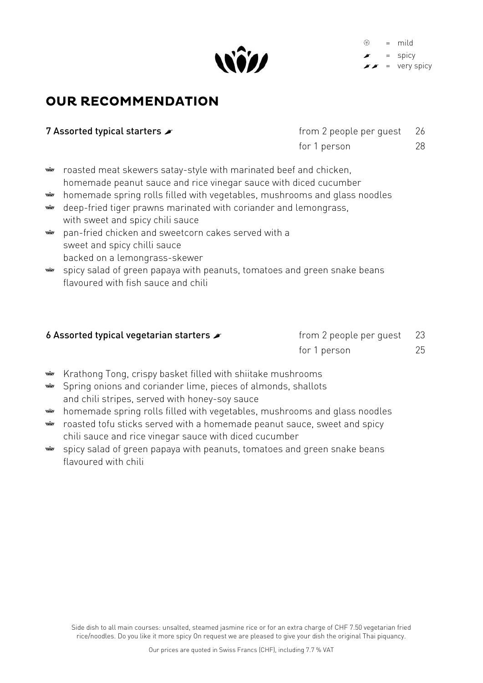

 = mild = spicy = very spicy

## **OUR RECOMMENDATION**

|  | 7 Assorted typical starters $\blacktriangleright$ |  |  |
|--|---------------------------------------------------|--|--|
|--|---------------------------------------------------|--|--|

| 7 Assorted typical starters $\blacktriangleright$ | from 2 people per guest 26 |    |
|---------------------------------------------------|----------------------------|----|
|                                                   | for 1 person               | 28 |

- wîn roasted meat skewers satay-style with marinated beef and chicken, homemade peanut sauce and rice vinegar sauce with diced cucumber
- homemade spring rolls filled with vegetables, mushrooms and glass noodles wîn
- deep-fried tiger prawns marinated with coriander and lemongrass, wîn with sweet and spicy chili sauce
- pan-fried chicken and sweetcorn cakes served with a win sweet and spicy chilli sauce backed on a lemongrass-skewer
- win spicy salad of green papaya with peanuts, tomatoes and green snake beans flavoured with fish sauce and chili

#### **6 Assorted typical vegetarian starters**  $\rightarrow$  from 2 people per quest 23

for 1 person 25

- Krathong Tong, crispy basket filled with shiitake mushrooms
- Spring onions and coriander lime, pieces of almonds, shallots  $\hat{w}$ and chili stripes, served with honey-soy sauce
- homemade spring rolls filled with vegetables, mushrooms and glass noodles win
- roasted tofu sticks served with a homemade peanut sauce, sweet and spicy Will chili sauce and rice vinegar sauce with diced cucumber
- WÎN spicy salad of green papaya with peanuts, tomatoes and green snake beans flavoured with chili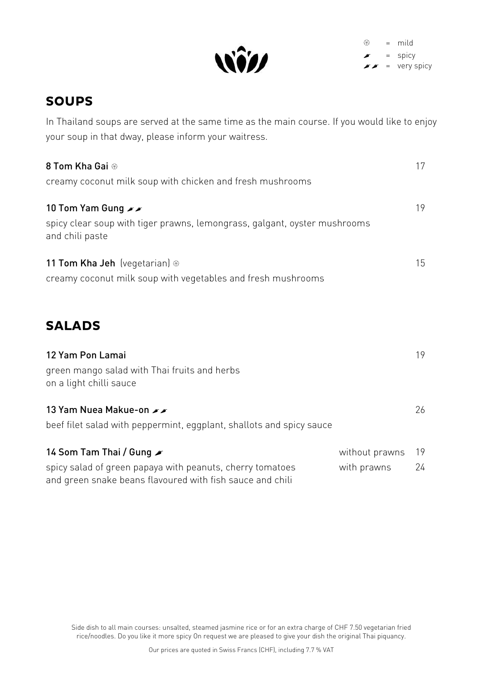

 $\circledast$  = mild = spicy  $\sqrt{\prime}$  = very spicy

# **SOUPS**

In Thailand soups are served at the same time as the main course. If you would like to enjoy your soup in that dway, please inform your waitress.

| 8 Tom Kha Gai ®<br>creamy coconut milk soup with chicken and fresh mushrooms                                       |                | 17 |
|--------------------------------------------------------------------------------------------------------------------|----------------|----|
| 10 Tom Yam Gung xx<br>spicy clear soup with tiger prawns, lemongrass, galgant, oyster mushrooms<br>and chili paste |                | 19 |
| <b>11 Tom Kha Jeh</b> (vegetarian) $\circledast$<br>creamy coconut milk soup with vegetables and fresh mushrooms   |                | 15 |
| <b>SALADS</b>                                                                                                      |                |    |
| 12 Yam Pon Lamai<br>green mango salad with Thai fruits and herbs<br>on a light chilli sauce                        |                | 19 |
| 13 Yam Nuea Makue-on xx<br>beef filet salad with peppermint, eggplant, shallots and spicy sauce                    |                | 26 |
| 14 Som Tam Thai / Gung ୵                                                                                           | without prawns | 19 |

spicy salad of green papaya with peanuts, cherry tomatoes with prawns 24 and green snake beans flavoured with fish sauce and chili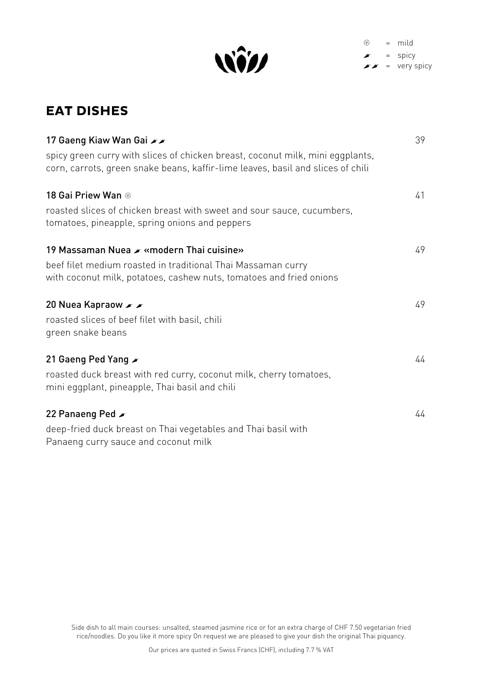

 $\circledast$  = mild  $\blacktriangleright$  = spicy  $\bullet \bullet = \text{very spicy}$ 

# **EAT DISHES**

| 17 Gaeng Kiaw Wan Gai xx                                                                                                                                          | 39 |
|-------------------------------------------------------------------------------------------------------------------------------------------------------------------|----|
| spicy green curry with slices of chicken breast, coconut milk, mini eggplants,<br>corn, carrots, green snake beans, kaffir-lime leaves, basil and slices of chili |    |
| 18 Gai Priew Wan $\circledast$                                                                                                                                    | 41 |
| roasted slices of chicken breast with sweet and sour sauce, cucumbers,<br>tomatoes, pineapple, spring onions and peppers                                          |    |
| 19 Massaman Nuea x «modern Thai cuisine»                                                                                                                          | 49 |
| beef filet medium roasted in traditional Thai Massaman curry<br>with coconut milk, potatoes, cashew nuts, tomatoes and fried onions                               |    |
| 20 Nuea Kapraow A                                                                                                                                                 | 49 |
| roasted slices of beef filet with basil, chili<br>green snake beans                                                                                               |    |
| 21 Gaeng Ped Yang                                                                                                                                                 | 44 |
| roasted duck breast with red curry, coconut milk, cherry tomatoes,<br>mini eggplant, pineapple, Thai basil and chili                                              |    |
| 22 Panaeng Ped $\blacktriangleright$                                                                                                                              | 44 |
| deep-fried duck breast on Thai vegetables and Thai basil with                                                                                                     |    |
| Panaeng curry sauce and coconut milk                                                                                                                              |    |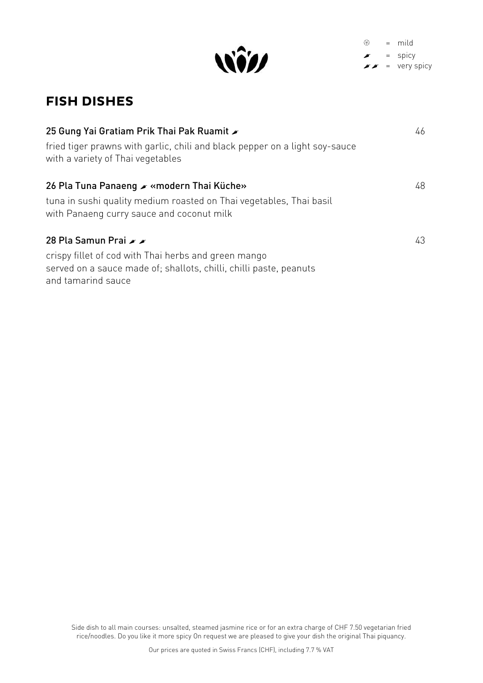

 $\circledast$  = mild  $\bullet$  = spicy  $\sqrt{\prime}$  = very spicy

## **FISH DISHES**

| 25 Gung Yai Gratiam Prik Thai Pak Ruamit $\blacktriangleright$<br>fried tiger prawns with garlic, chili and black pepper on a light soy-sauce<br>with a variety of Thai vegetables | 46 |
|------------------------------------------------------------------------------------------------------------------------------------------------------------------------------------|----|
| 26 Pla Tuna Panaeng ୵ «modern Thai Küche»<br>tuna in sushi quality medium roasted on Thai vegetables, Thai basil<br>with Panaeng curry sauce and coconut milk                      | 48 |
| 28 Pla Samun Prai A<br>crispy fillet of cod with Thai herbs and green mango<br>served on a sauce made of; shallots, chilli, chilli paste, peanuts<br>and tamarind sauce            | 43 |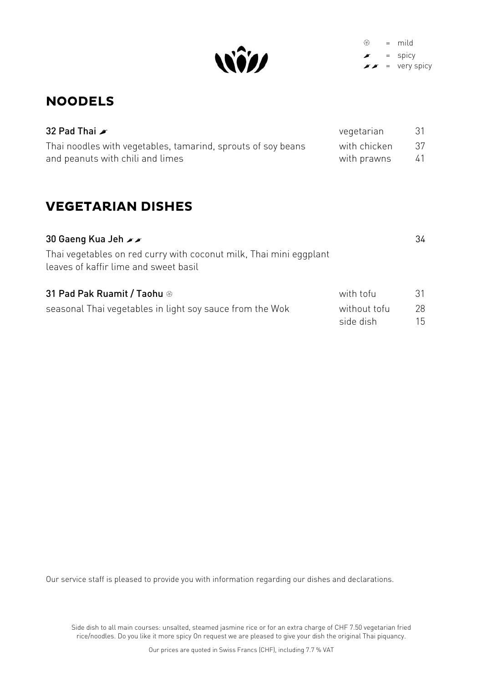

 $\circledast$  = mild  $\blacktriangleright$  = spicy  $\sqrt{\prime}$  = very spicy

## **NOODELS**

| 32 Pad Thai $\blacktriangleright$                            | vegetarian   | -31 |
|--------------------------------------------------------------|--------------|-----|
| Thai noodles with vegetables, tamarind, sprouts of soy beans | with chicken | -37 |
| and peanuts with chili and limes                             | with prawns  | 41  |

# **VEGETARIAN DISHES**

| 30 Gaeng Kua Jeh $\blacktriangleright$                                                                      |                           | 34       |
|-------------------------------------------------------------------------------------------------------------|---------------------------|----------|
| Thai vegetables on red curry with coconut milk, Thai mini eggplant<br>leaves of kaffir lime and sweet basil |                           |          |
| 31 Pad Pak Ruamit / Taohu ®                                                                                 | with tofu                 | 31       |
| seasonal Thai vegetables in light soy sauce from the Wok                                                    | without tofu<br>side dish | 28<br>15 |

Our service staff is pleased to provide you with information regarding our dishes and declarations.